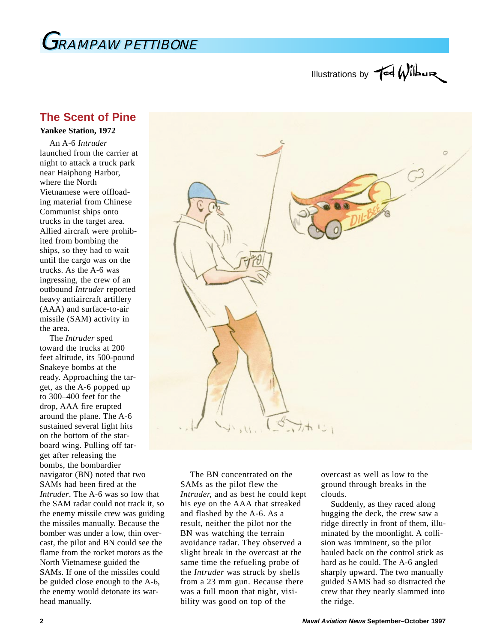

## Illustrations by  $\operatorname{\mathsf{red}}\nolimits\operatorname{\mathsf{Wilb}}\nolimits$

## **The Scent of Pine**

**Yankee Station, 1972**

An A-6 *Intruder* launched from the carrier at night to attack a truck park near Haiphong Harbor, where the North Vietnamese were offloading material from Chinese Communist ships onto trucks in the target area. Allied aircraft were prohibited from bombing the ships, so they had to wait until the cargo was on the trucks. As the A-6 was ingressing, the crew of an outbound *Intruder* reported heavy antiaircraft artillery (AAA) and surface-to-air missile (SAM) activity in the area.

The *Intruder* sped toward the trucks at 200 feet altitude, its 500-pound Snakeye bombs at the ready. Approaching the target, as the A-6 popped up to 300–400 feet for the drop, AAA fire erupted around the plane. The A-6 sustained several light hits on the bottom of the starboard wing. Pulling off target after releasing the bombs, the bombardier navigator (BN) noted that two SAMs had been fired at the *Intruder*. The A-6 was so low that the SAM radar could not track it, so the enemy missile crew was guiding the missiles manually. Because the bomber was under a low, thin overcast, the pilot and BN could see the flame from the rocket motors as the North Vietnamese guided the SAMs. If one of the missiles could be guided close enough to the A-6, the enemy would detonate its warhead manually.



The BN concentrated on the SAMs as the pilot flew the *Intruder,* and as best he could kept his eye on the AAA that streaked and flashed by the A-6. As a result, neither the pilot nor the BN was watching the terrain avoidance radar. They observed a slight break in the overcast at the same time the refueling probe of the *Intruder* was struck by shells from a 23 mm gun. Because there was a full moon that night, visibility was good on top of the

overcast as well as low to the ground through breaks in the clouds.

Suddenly, as they raced along hugging the deck, the crew saw a ridge directly in front of them, illuminated by the moonlight. A collision was imminent, so the pilot hauled back on the control stick as hard as he could. The A-6 angled sharply upward. The two manually guided SAMS had so distracted the crew that they nearly slammed into the ridge.